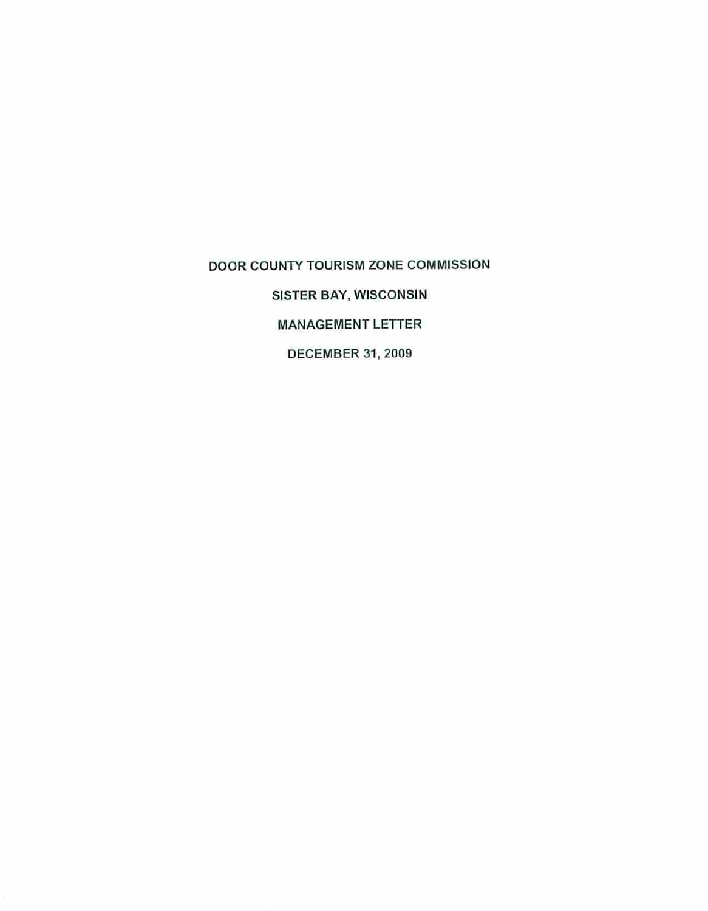DOOR COUNTY TOURISM ZONE COMMISSION SISTER BAY, WISCONSIN MANAGEMENT LETTER DECEMBER 31, 2009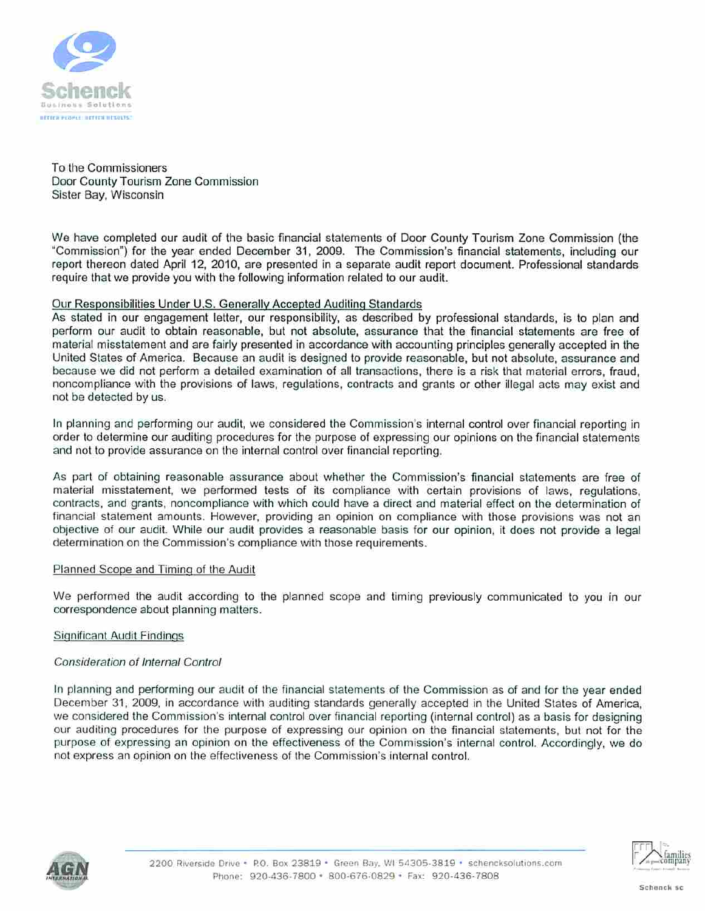

To the Commissioners Door County Tourism Zone Commission Sister Bay, Wisconsin

We have completed our audit of the basic financial statements of Door County Tourism Zone Commission (the "Commission") for the year ended December 31, 2009. The Commission's financial statements, including our report thereon dated April 12, 2010, are presented in a separate audit report document. Professional standards require that we provide you with the following information related to our audit.

# Our Responsibilities Under U.S. Generally Accepted Auditing Standards

As stated in our engagement letter, our responsibility, as described by professional standards, is to plan and perform our audit to obtain reasonable, but not absolute, assurance that the financial statements are free of material misslatement and are fairly presented in accordance with accounting principles generally accepted in (he United States of America. Because an audil is designed to provide reasonable, bul not absolute, assurance and because we did not perform a detailed examination of all transactions, there is a risk that material errors, fraud, noncompliance with the provisions of laws, regulations, contracts and grants or other illegal acls may exist and not be detected by us.

In planning and performing our audit, we considered the Commission's internal control over financial reporting in order to determine our auditing procedures for the purpose of expressing our opinions on the financial statements and not to provide assurance on the internal control over financial reporting.

As part of obtaining reasonable assurance about whether the Commission's financial statements are free of material misstatement, we performed tests of ils compliance with certain provisions of laws, regulations, contracts, and grants, noncompliance with which could have a direct and material effect on the determination of financial statement amounts. However, providing an opinion on compliance with those provisions was not an objective of our audit. While our audit provides a reasonable basis for our opinion, it does not provide a legal determination on the Commission's compliance with those requirements.

# Planned Scope and Timing of the Audit

We performed the audit according to the planned scope and timing previously communicated to you in our correspondence about planning matters.

# Significant Audit Findings

# Consideration of Internal Control

In planning and performing our audit of the financial statements of the Commission as of and far the year ended December 31. 2009, in accordance with auditing standards generally accepted in the United States of America, we considered the Commission's internal control over financial reporting (internal control) as a basis for designing our auditing procedures for the purpose of expressing our opinion on the financial statements, but not for the purpose of expressing an opinion on the effectiveness of the Commission's internal control. Accordingly, we do not express an opinion on the effectiveness of the Commission's internal control.



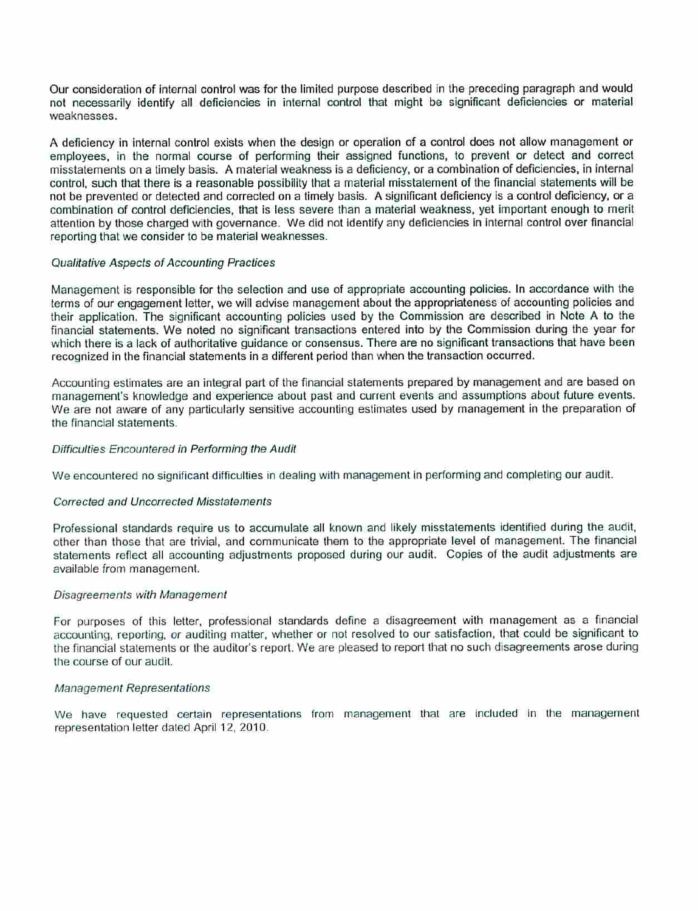Our consideration of internal control was for the limited purpose described in the preceding paragraph and would not necessarily identify all deficiencies in internal control that might be significant deficiencies or material weaknesses.

A deficiency in internal control exists when the design or operation of a control does not allow management or employees, in the normal course of performing their assigned functions, to prevent or detect and correct misstatements on a timely basis. A material weakness is a deficiency, or a combination of deficiencies, in internal control, such that there is a reasonable possibility that a material misstatement of the financial statements will be not be prevented or detected and corrected on a timely basis. A significant deficiency is a control deficiency, or a combination of control deficiencies, that is less severe than a material weakness, yet important enough to merit attention by those charged with governance. We did not identify any deficiencies in internal control over financial reporting that we consider to be material weaknesses.

# Qualitative Aspects of Accounting Practices

Management is responsible for the selection and use of appropriate accounting policies. In accordance with the terms of our engagement letter, we will advise management about the appropriateness of accounting policies and their application. The significant accounting policies used by the Commission are described in Note A to the financial statements. We noted no significant transactions entered into by the Commission during the year for which there is a lack of authoritative guidance or consensus. There are no significant transactions that have been recognized in the financial statements in a different period than when the transaction occurred.

Accounting estimates are an integral part of the financial statements prepared by management and are based on management's knowledge and experience about past and current events and assumptions about future events. We are not aware of any particularly sensitive accounting estimates used by management in the preparation of the financial statements.

### Difficulties Encountered in Performing the Audit

We encountered no significant difficulties in dealing with management in performing and completing our audit.

#### Corrected and Uncorrected Misstatements

Professional standards require us to accumulate all known and likely misstatements identified during the audit, other than those that are trivial, and communicate them to the appropriate level of management. The financial statements reflect all accounting adjustments proposed during our audit. Copies of the audit adjustments are available from management.

#### Disagreements with Management

For purposes of this letter, professional standards define a disagreement with management as a financial accounting, reporting, or auditing matter, whether or not resolved to our satisfaction, that could be significant to the financial statements or the auditor's report. We are pleased to report that no such disagreements arose during the course of our audit.

#### Management Representations

We have requested certain representations from management that are included in the management representation letter dated April 12, 2010.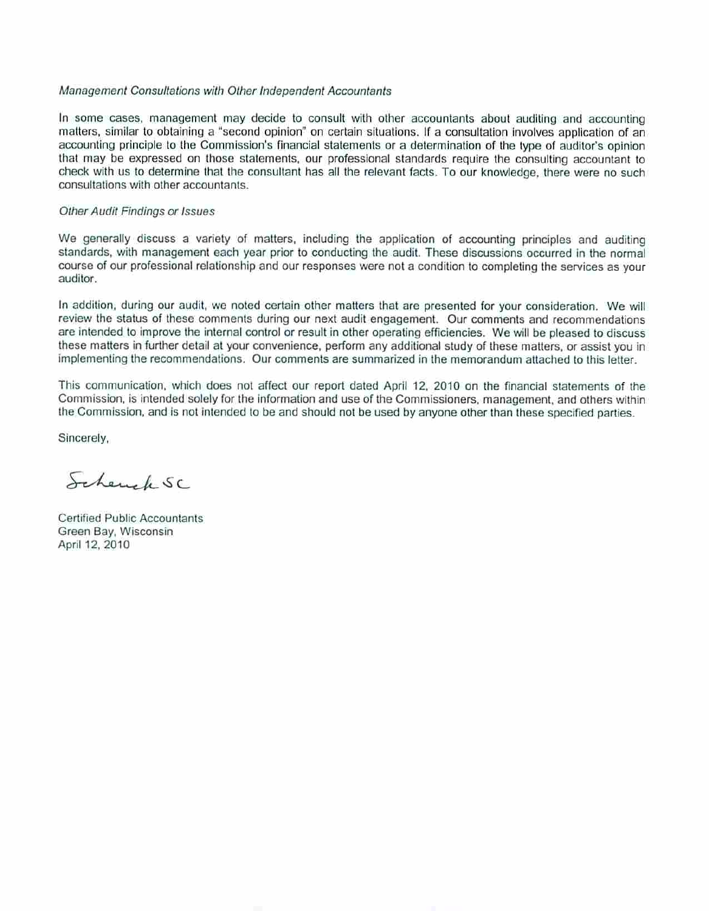## Management Consultations with Other Independent Accountants

In some cases, management may decide to consult wilh other accountants about auditing and accounting matters, similar to obtaining a "second opinion" on certain situations. If a consultation Involves application of an accounting principle to the Commission's financial statements or a determination of the type of auditor's opinion that may be expressed on those statements, our professional standards require the consulting accountant to check with us to determine that the consultant has all the relevant facts. To our knowledge, there were no such consultations with other accountants.

# Other Audit Findings or Issues

We generally discuss a variety of matters, including the application of accounting principles and auditing standards, with management each year prior to conducting the audit. These discussions occurred in the normal course of our professional relationship and our responses were not a condilion to completing the services as your auditor.

In addition, during our audit, we noted certain other matters that are presented for your consideration. We will review the status of these comments during our next audit engagement. Our comments and recommendations are intended to improve the inlernal control or result in other operating efficiencies. We will be pleased to discuss these matters in further detail at your convenience, perform any additional study of these matters, or assist you in implementing the recommendations. Our comments are summarized in the memorandum attached to this letter.

This communication, which does not affect our report dated April 12, 2010 on the financial statements of the Commission, is intended solely for the information and use of the Commissioners, management, and others within the Commission, and is not intended to be and should not be used by anyone other than these specified parties.

Sincerely,

Schench SC

Certified Public Accountants Green Bay, Wisconsin April 12. 2010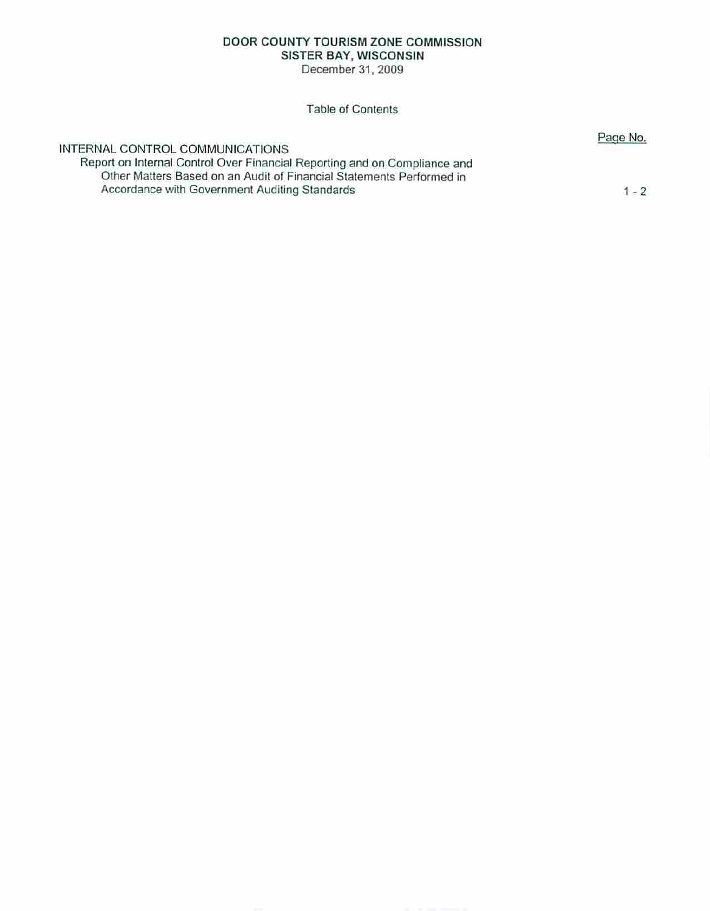# DOOR COUNTY TOURISM ZONE COMMISSION SISTER BAY, WISCONSIN

December 31, 2009

Table of Contents

| INTERNAL CONTROL COMMUNICATIONS                                           | Page No. |
|---------------------------------------------------------------------------|----------|
| Report on Internal Control Over Financial Reporting and on Compliance and |          |
| Other Matters Based on an Audit of Financial Statements Performed in      |          |
| Accordance with Government Auditing Standards                             | $1 - 2$  |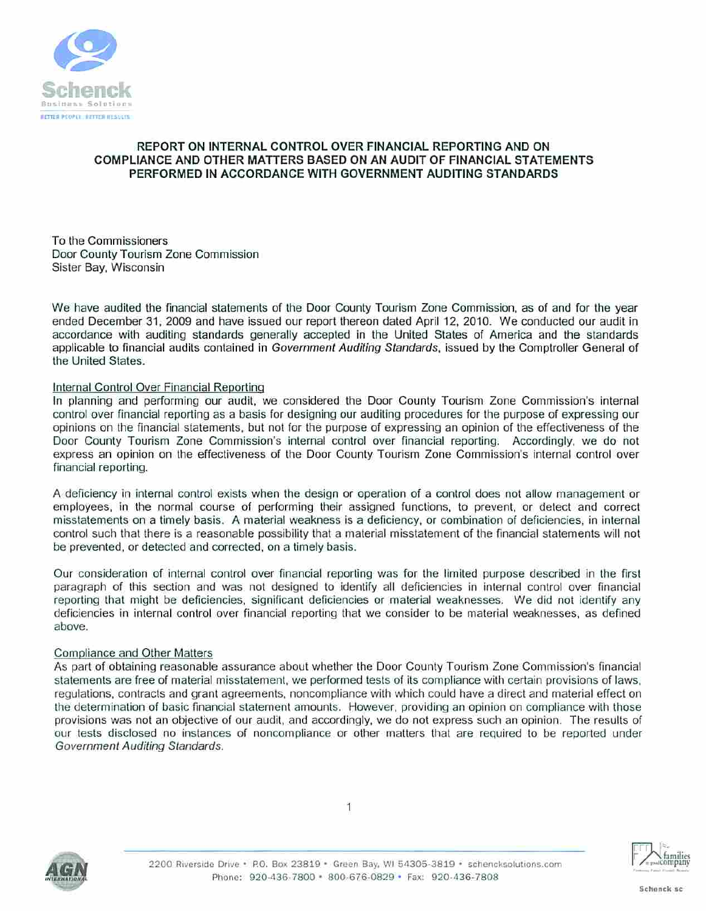

# REPORT ON INTERNAL CONTROL OVER FINANCIAL REPORTING AND ON COMPLIANCE AND OTHER MATTERS BASED ON AN AUDIT OF FINANCIAL STATEMENTS PERFORMED IN ACCORDANCE WITH GOVERNMENT AUDITING STANDARDS

To the Commissioners Door County Tourism Zone Commission Sister Bay. Wisconsin

We have audited the financial statements of the Door County Tourism Zone Commission, as of and for fhe year ended December 31, 2009 and have issued our report thereon dated April 12, 2010. We conducted our audit in accordance with auditing standards generally accepted in the United States of America and the standards applicable to financial audits contained in Government Auditing Standards, issued by the Comptroller General of the United States.

# Internal Conlrol Over Financial Reporting

In planning and performing our audit, we considered the Door County Tourism Zone Commission's internal control over financial reporting as a basis for designing our auditing procedures for the purpose of expressing our opinions on the financial statements, but not for the purpose of expressing an opinion of the effectiveness of the Door County Tourism Zone Commission's internal control over financial reporting. Accordingly, we do not express an opinion on Ihe effectiveness of the Door County Tourism Zone Commission's internal control over financial reporting.

A deficiency in internal control exists when the design or operation of a control does not allow management or employees, in the normal course of performing their assigned functions, to prevent, or detect and correct misslatements on a timely basis, A material weakness is a deficiency, or combination of deficiencies, in internal control such that there is a reasonable possibility that a material misstatement of Ihe financial statements will not be prevented, or detected and corrected, on a timely basis.

Our consideration of internal control over financial reporting was for the limited purpose described in the first paragraph of this section and was not designed to identify all deficiencies in internal control over financial reporting thai might be deficiencies, significant deficiencies or material weaknesses. We did not identify any deficiencies in internal control over financial reporting that we consider to be material weaknesses, as defined above.

# Compliance and Other Matters

As part of obtaining reasonable assurance about whether the Door County Tourism Zone Commission's financial statements are free of material misstatement, we performed tests of its compliance with certain provisions of laws, regulations, contracts and grant agreements, noncompliance with which could have a direct and material effect on the determination of basic financial statement amounts. However, providing an opinion on compliance with those provisions was not an objective of our audit, and accordingly, we do not express such an opinion. The results of our lests disclosed no instances of noncompliance or other matters Ihal are required lo be reported under Government Auditing Standards.